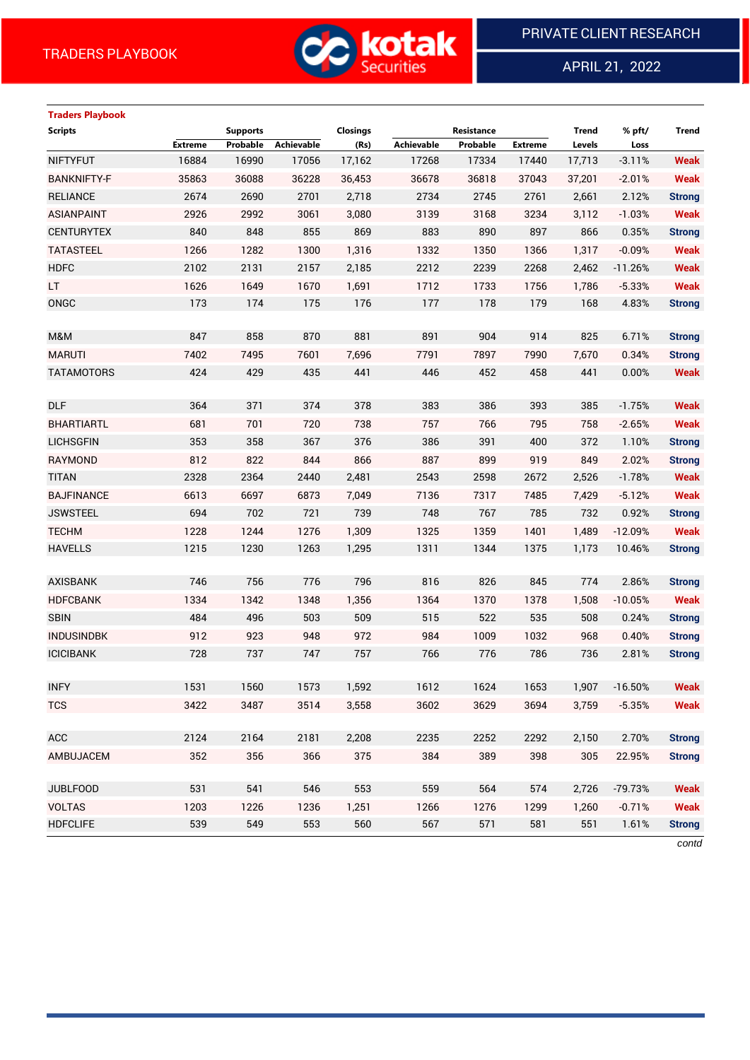

APRIL 21, 2022

 $\overline{a}$ 

# **Traders Playbook**

| <b>Scripts</b>     |         | <b>Supports</b> |            | Closings |                   | Resistance |                | <b>Trend</b> | % pft/    | <b>Trend</b>  |
|--------------------|---------|-----------------|------------|----------|-------------------|------------|----------------|--------------|-----------|---------------|
|                    | Extreme | Probable        | Achievable | (Rs)     | <b>Achievable</b> | Probable   | <b>Extreme</b> | Levels       | Loss      |               |
| <b>NIFTYFUT</b>    | 16884   | 16990           | 17056      | 17,162   | 17268             | 17334      | 17440          | 17,713       | $-3.11%$  | <b>Weak</b>   |
| <b>BANKNIFTY-F</b> | 35863   | 36088           | 36228      | 36,453   | 36678             | 36818      | 37043          | 37,201       | $-2.01%$  | <b>Weak</b>   |
| <b>RELIANCE</b>    | 2674    | 2690            | 2701       | 2,718    | 2734              | 2745       | 2761           | 2,661        | 2.12%     | <b>Strong</b> |
| <b>ASIANPAINT</b>  | 2926    | 2992            | 3061       | 3,080    | 3139              | 3168       | 3234           | 3,112        | $-1.03%$  | <b>Weak</b>   |
| <b>CENTURYTEX</b>  | 840     | 848             | 855        | 869      | 883               | 890        | 897            | 866          | 0.35%     | <b>Strong</b> |
| <b>TATASTEEL</b>   | 1266    | 1282            | 1300       | 1,316    | 1332              | 1350       | 1366           | 1,317        | $-0.09%$  | <b>Weak</b>   |
| <b>HDFC</b>        | 2102    | 2131            | 2157       | 2,185    | 2212              | 2239       | 2268           | 2,462        | $-11.26%$ | <b>Weak</b>   |
| <b>LT</b>          | 1626    | 1649            | 1670       | 1,691    | 1712              | 1733       | 1756           | 1,786        | $-5.33%$  | <b>Weak</b>   |
| ONGC               | 173     | 174             | 175        | 176      | 177               | 178        | 179            | 168          | 4.83%     | <b>Strong</b> |
|                    |         |                 |            |          |                   |            |                |              |           |               |
| M&M                | 847     | 858             | 870        | 881      | 891               | 904        | 914            | 825          | 6.71%     | <b>Strong</b> |
| <b>MARUTI</b>      | 7402    | 7495            | 7601       | 7,696    | 7791              | 7897       | 7990           | 7,670        | 0.34%     | <b>Strong</b> |
| <b>TATAMOTORS</b>  | 424     | 429             | 435        | 441      | 446               | 452        | 458            | 441          | 0.00%     | <b>Weak</b>   |
|                    |         |                 |            |          |                   |            |                |              |           |               |
| <b>DLF</b>         | 364     | 371             | 374        | 378      | 383               | 386        | 393            | 385          | $-1.75%$  | <b>Weak</b>   |
| <b>BHARTIARTL</b>  | 681     | 701             | 720        | 738      | 757               | 766        | 795            | 758          | $-2.65%$  | <b>Weak</b>   |
| <b>LICHSGFIN</b>   | 353     | 358             | 367        | 376      | 386               | 391        | 400            | 372          | 1.10%     | <b>Strong</b> |
| <b>RAYMOND</b>     | 812     | 822             | 844        | 866      | 887               | 899        | 919            | 849          | 2.02%     | <b>Strong</b> |
| <b>TITAN</b>       | 2328    | 2364            | 2440       | 2,481    | 2543              | 2598       | 2672           | 2,526        | $-1.78%$  | <b>Weak</b>   |
| <b>BAJFINANCE</b>  | 6613    | 6697            | 6873       | 7,049    | 7136              | 7317       | 7485           | 7,429        | $-5.12%$  | <b>Weak</b>   |
| <b>JSWSTEEL</b>    | 694     | 702             | 721        | 739      | 748               | 767        | 785            | 732          | 0.92%     | <b>Strong</b> |
| <b>TECHM</b>       | 1228    | 1244            | 1276       | 1,309    | 1325              | 1359       | 1401           | 1,489        | $-12.09%$ | <b>Weak</b>   |
| <b>HAVELLS</b>     | 1215    | 1230            | 1263       | 1,295    | 1311              | 1344       | 1375           | 1,173        | 10.46%    | <b>Strong</b> |
|                    |         |                 |            |          |                   |            |                |              |           |               |
| <b>AXISBANK</b>    | 746     | 756             | 776        | 796      | 816               | 826        | 845            | 774          | 2.86%     | <b>Strong</b> |
| <b>HDFCBANK</b>    | 1334    | 1342            | 1348       | 1,356    | 1364              | 1370       | 1378           | 1,508        | $-10.05%$ | <b>Weak</b>   |
| <b>SBIN</b>        | 484     | 496             | 503        | 509      | 515               | 522        | 535            | 508          | 0.24%     | <b>Strong</b> |
| <b>INDUSINDBK</b>  | 912     | 923             | 948        | 972      | 984               | 1009       | 1032           | 968          | 0.40%     | <b>Strong</b> |
| <b>ICICIBANK</b>   | 728     | 737             | 747        | 757      | 766               | 776        | 786            | 736          | 2.81%     | <b>Strong</b> |
|                    |         |                 |            |          |                   |            |                |              |           |               |
| <b>INFY</b>        | 1531    | 1560            | 1573       | 1,592    | 1612              | 1624       | 1653           | 1,907        | $-16.50%$ | <b>Weak</b>   |
| <b>TCS</b>         | 3422    | 3487            | 3514       | 3,558    | 3602              | 3629       | 3694           | 3,759        | $-5.35%$  | <b>Weak</b>   |
|                    |         |                 |            |          |                   |            |                |              |           |               |
| ACC                | 2124    | 2164            | 2181       | 2,208    | 2235              | 2252       | 2292           | 2,150        | 2.70%     | <b>Strong</b> |
| AMBUJACEM          | 352     | 356             | 366        | 375      | 384               | 389        | 398            | 305          | 22.95%    | <b>Strong</b> |
|                    |         |                 |            |          |                   |            |                |              |           |               |
| <b>JUBLFOOD</b>    | 531     | 541             | 546        | 553      | 559               | 564        | 574            | 2,726        | $-79.73%$ | <b>Weak</b>   |
| <b>VOLTAS</b>      | 1203    | 1226            | 1236       | 1,251    | 1266              | 1276       | 1299           | 1,260        | $-0.71%$  | <b>Weak</b>   |
| <b>HDFCLIFE</b>    | 539     | 549             | 553        | 560      | 567               | 571        | 581            | 551          | 1.61%     | <b>Strong</b> |

*contd*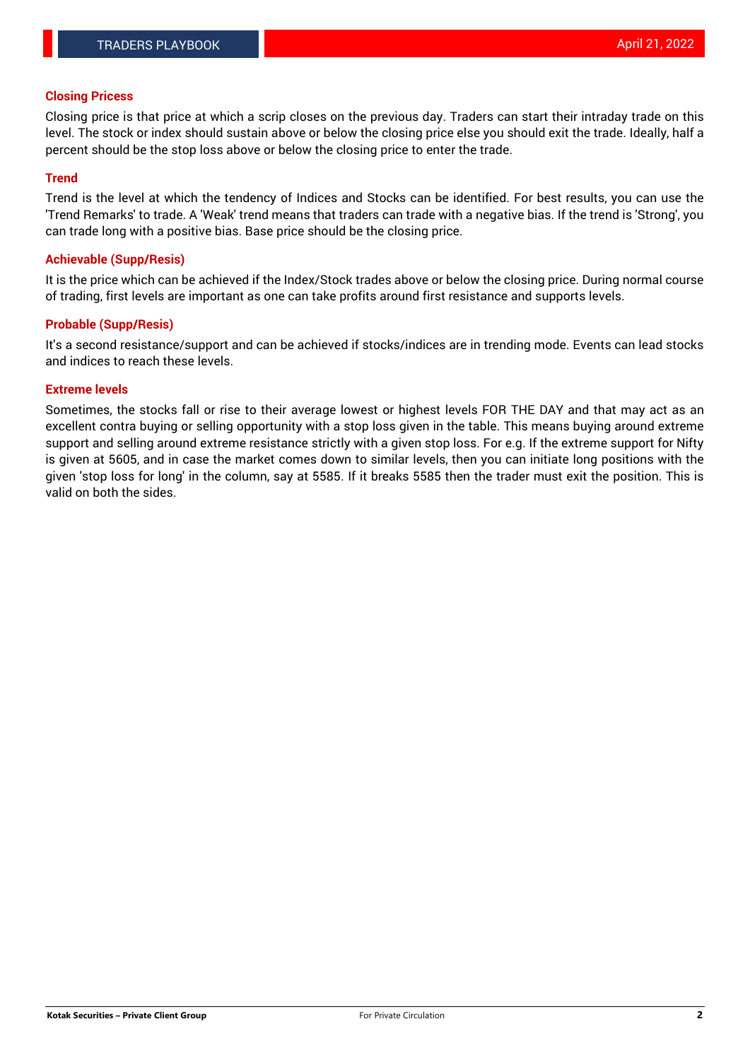### **Closing Pricess**

Closing price is that price at which a scrip closes on the previous day. Traders can start their intraday trade on this level. The stock or index should sustain above or below the closing price else you should exit the trade. Ideally, half a percent should be the stop loss above or below the closing price to enter the trade.

## **Trend**

Trend is the level at which the tendency of Indices and Stocks can be identified. For best results, you can use the 'Trend Remarks' to trade. A 'Weak' trend means that traders can trade with a negative bias. If the trend is 'Strong', you can trade long with a positive bias. Base price should be the closing price.

#### **Achievable (Supp/Resis)**

It is the price which can be achieved if the Index/Stock trades above or below the closing price. During normal course of trading, first levels are important as one can take profits around first resistance and supports levels.

## **Probable (Supp/Resis)**

It's a second resistance/support and can be achieved if stocks/indices are in trending mode. Events can lead stocks and indices to reach these levels.

#### **Extreme levels**

Sometimes, the stocks fall or rise to their average lowest or highest levels FOR THE DAY and that may act as an excellent contra buying or selling opportunity with a stop loss given in the table. This means buying around extreme support and selling around extreme resistance strictly with a given stop loss. For e.g. If the extreme support for Nifty is given at 5605, and in case the market comes down to similar levels, then you can initiate long positions with the given 'stop loss for long' in the column, say at 5585. If it breaks 5585 then the trader must exit the position. This is valid on both the sides.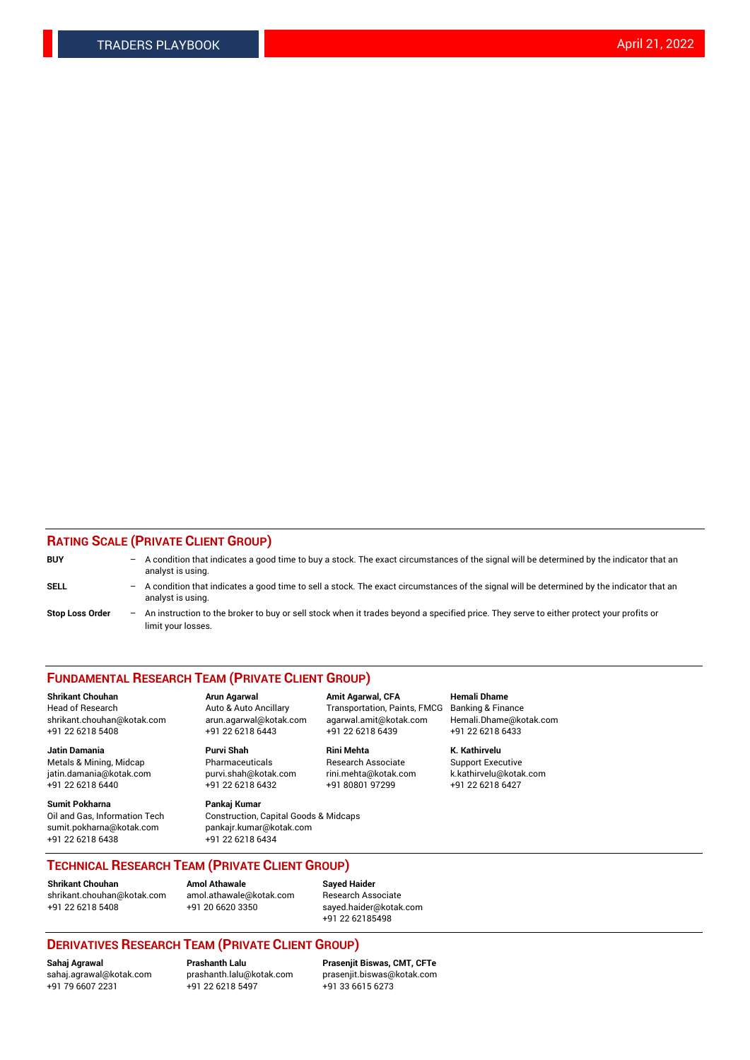## **RATING SCALE (PRIVATE CLIENT GROUP)**

| <b>BUY</b>             | -                 | A condition that indicates a good time to buy a stock. The exact circumstances of the signal will be determined by the indicator that an<br>analyst is using.  |
|------------------------|-------------------|----------------------------------------------------------------------------------------------------------------------------------------------------------------|
| SELL                   | -                 | A condition that indicates a good time to sell a stock. The exact circumstances of the signal will be determined by the indicator that an<br>analyst is using. |
| <b>Stop Loss Order</b> | $\qquad \qquad -$ | An instruction to the broker to buy or sell stock when it trades beyond a specified price. They serve to either protect your profits or<br>limit your losses.  |

#### **FUNDAMENTAL RESEARCH TEAM (PRIVATE CLIENT GROUP)**

**Shrikant Chouhan Arun Agarwal Amit Agarwal, CFA Hemali Dhame** Head of Research Auto & Auto Ancillary Transportation, Paints, FMCG Banking & Finance shrikant.chouhan@kotak.com arun.agarwal@kotak.com agarwal.amit@kotak.com Hemali.Dhame@kotak.com +91 22 6218 5408 +91 22 6218 6443 +91 22 6218 6439 +91 22 6218 6433

**Jatin Damania Purvi Shah Rini Mehta K. Kathirvelu** Metals & Mining, Midcap **Pharmaceuticals** Research Associate Support Executive jatin.damania@kotak.com [purvi.shah@kotak.com](mailto:purvi.shah@kotak.com) rini.mehta@kotak.com [k.kathirvelu@kotak.com](mailto:k.kathirvelu@kotak.com)  $+91$  22 6218 6440  $+91$  22 6218 6432

**Sumit Pokharna Pankaj Kumar** sumit.pokharna@kotak.com pankajr.kumar@kotak.com +91 22 6218 6438 +91 22 6218 6434

Oil and Gas, Information Tech Construction, Capital Goods & Midcaps

**TECHNICAL RESEARCH TEAM (PRIVATE CLIENT GROUP)**

**Shrikant Chouhan Amol Athawale Sayed Haider** [shrikant.chouhan@kotak.com](mailto:shrikant.chouhan@kotak.com) [amol.athawale@kotak.com](mailto:amol.athawale@kotak.com) Research Associate +91 22 6218 5408 +91 20 6620 3350 [sayed.haider@kotak.com](mailto:sayed.haider@kotak.com)

+91 22 62185498

# **DERIVATIVES RESEARCH TEAM (PRIVATE CLIENT GROUP)**

 $+91$  22 6218 5497

**Sahaj Agrawal Prashanth Lalu Prasenjit Biswas, CMT, CFTe** [sahaj.agrawal@kotak.com](mailto:sahaj.agrawal@kotak.com) [prashanth.lalu@kotak.com](mailto:prashanth.lalu@kotak.com) [prasenjit.biswas@kotak.com](mailto:prasenjit.biswas@kotak.com)